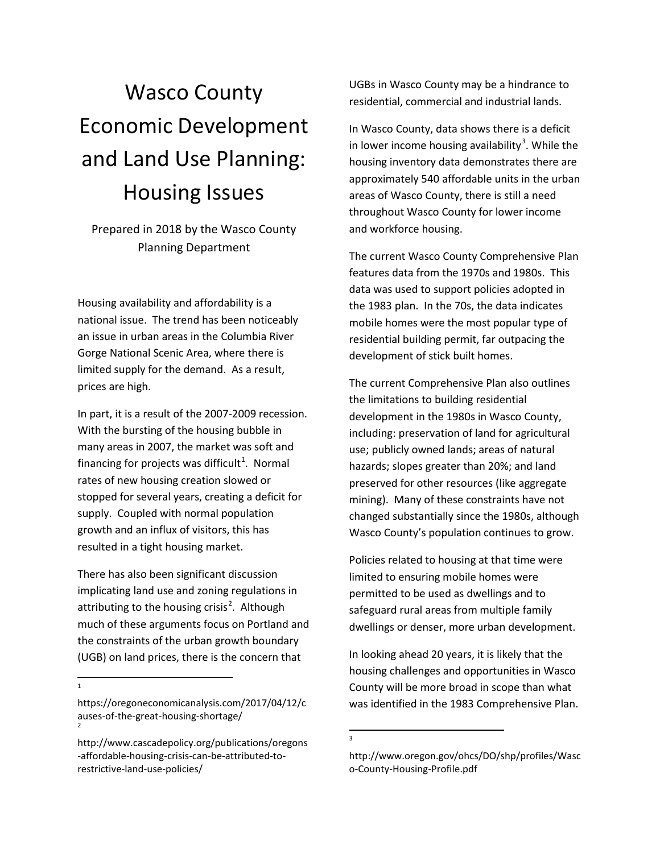# Wasco County Economic Development and Land Use Planning: Housing Issues

Prepared in 2018 by the Wasco County Planning Department

Housing availability and affordability is a national issue. The trend has been noticeably an issue in urban areas in the Columbia River Gorge National Scenic Area, where there is limited supply for the demand. As a result, prices are high.

In part, it is a result of the 2007-2009 recession. With the bursting of the housing bubble in many areas in 2007, the market was soft and financing for projects was difficult<sup>[1](#page-0-0)</sup>. Normal rates of new housing creation slowed or stopped for several years, creating a deficit for supply. Coupled with normal population growth and an influx of visitors, this has resulted in a tight housing market.

There has also been significant discussion implicating land use and zoning regulations in attributing to the housing crisis<sup>[2](#page-0-1)</sup>. Although much of these arguments focus on Portland and the constraints of the urban growth boundary (UGB) on land prices, there is the concern that

 $\frac{1}{1}$  $\overline{1}$  UGBs in Wasco County may be a hindrance to residential, commercial and industrial lands.

In Wasco County, data shows there is a deficit in lower income housing availability<sup>[3](#page-0-2)</sup>. While the housing inventory data demonstrates there are approximately 540 affordable units in the urban areas of Wasco County, there is still a need throughout Wasco County for lower income and workforce housing.

The current Wasco County Comprehensive Plan features data from the 1970s and 1980s. This data was used to support policies adopted in the 1983 plan. In the 70s, the data indicates mobile homes were the most popular type of residential building permit, far outpacing the development of stick built homes.

The current Comprehensive Plan also outlines the limitations to building residential development in the 1980s in Wasco County, including: preservation of land for agricultural use; publicly owned lands; areas of natural hazards; slopes greater than 20%; and land preserved for other resources (like aggregate mining). Many of these constraints have not changed substantially since the 1980s, although Wasco County's population continues to grow.

Policies related to housing at that time were limited to ensuring mobile homes were permitted to be used as dwellings and to safeguard rural areas from multiple family dwellings or denser, more urban development.

In looking ahead 20 years, it is likely that the housing challenges and opportunities in Wasco County will be more broad in scope than what was identified in the 1983 Comprehensive Plan.

-<br>3  $\overline{\mathbf{a}}$ 

<span id="page-0-0"></span>https://oregoneconomicanalysis.com/2017/04/12/c auses-of-the-great-housing-shortage/ <sup>2</sup>

<span id="page-0-2"></span><span id="page-0-1"></span>http://www.cascadepolicy.org/publications/oregons -affordable-housing-crisis-can-be-attributed-torestrictive-land-use-policies/

http://www.oregon.gov/ohcs/DO/shp/profiles/Wasc o-County-Housing-Profile.pdf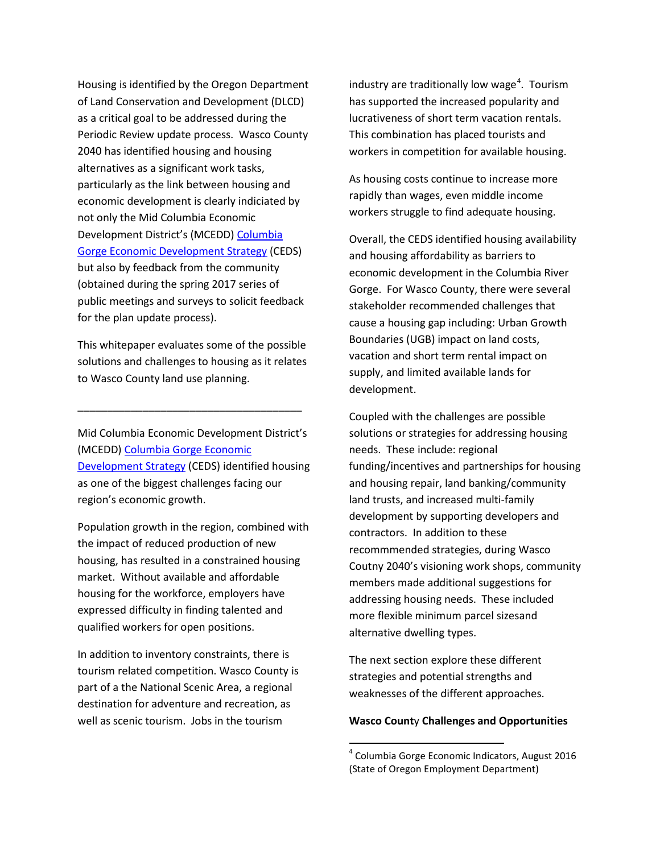Housing is identified by the Oregon Department of Land Conservation and Development (DLCD) as a critical goal to be addressed during the Periodic Review update process. Wasco County 2040 has identified housing and housing alternatives as a significant work tasks, particularly as the link between housing and economic development is clearly indiciated by not only the Mid Columbia Economic Development District's (MCEDD) [Columbia](http://www.mcedd.org/wp-content/uploads/2018/04/CEDS_2018update_FullDoc.pdf)  [Gorge Economic Development Strategy](http://www.mcedd.org/wp-content/uploads/2018/04/CEDS_2018update_FullDoc.pdf) (CEDS) but also by feedback from the community (obtained during the spring 2017 series of public meetings and surveys to solicit feedback for the plan update process).

This whitepaper evaluates some of the possible solutions and challenges to housing as it relates to Wasco County land use planning.

\_\_\_\_\_\_\_\_\_\_\_\_\_\_\_\_\_\_\_\_\_\_\_\_\_\_\_\_\_\_\_\_\_\_\_\_\_\_

Mid Columbia Economic Development District's (MCEDD) [Columbia Gorge Economic](http://www.mcedd.org/wp-content/uploads/2018/04/CEDS_2018update_FullDoc.pdf)  [Development Strategy](http://www.mcedd.org/wp-content/uploads/2018/04/CEDS_2018update_FullDoc.pdf) (CEDS) identified housing as one of the biggest challenges facing our region's economic growth.

Population growth in the region, combined with the impact of reduced production of new housing, has resulted in a constrained housing market. Without available and affordable housing for the workforce, employers have expressed difficulty in finding talented and qualified workers for open positions.

<span id="page-1-0"></span>In addition to inventory constraints, there is tourism related competition. Wasco County is part of a the National Scenic Area, a regional destination for adventure and recreation, as well as scenic tourism. Jobs in the tourism

industry are traditionally low wage<sup>[4](#page-1-0)</sup>. Tourism has supported the increased popularity and lucrativeness of short term vacation rentals. This combination has placed tourists and workers in competition for available housing.

As housing costs continue to increase more rapidly than wages, even middle income workers struggle to find adequate housing.

Overall, the CEDS identified housing availability and housing affordability as barriers to economic development in the Columbia River Gorge. For Wasco County, there were several stakeholder recommended challenges that cause a housing gap including: Urban Growth Boundaries (UGB) impact on land costs, vacation and short term rental impact on supply, and limited available lands for development.

Coupled with the challenges are possible solutions or strategies for addressing housing needs. These include: regional funding/incentives and partnerships for housing and housing repair, land banking/community land trusts, and increased multi-family development by supporting developers and contractors. In addition to these recommmended strategies, during Wasco Coutny 2040's visioning work shops, community members made additional suggestions for addressing housing needs. These included more flexible minimum parcel sizesand alternative dwelling types.

The next section explore these different strategies and potential strengths and weaknesses of the different approaches.

### **Wasco Count**y **Challenges and Opportunities**

 $4$  Columbia Gorge Economic Indicators, August 2016 (State of Oregon Employment Department)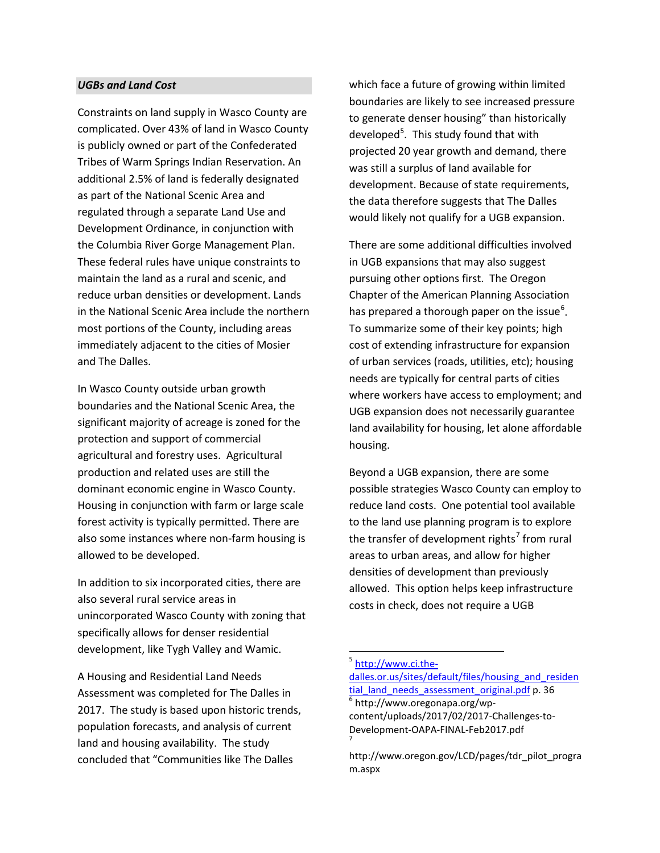#### *UGBs and Land Cost*

Constraints on land supply in Wasco County are complicated. Over 43% of land in Wasco County is publicly owned or part of the Confederated Tribes of Warm Springs Indian Reservation. An additional 2.5% of land is federally designated as part of the National Scenic Area and regulated through a separate Land Use and Development Ordinance, in conjunction with the Columbia River Gorge Management Plan. These federal rules have unique constraints to maintain the land as a rural and scenic, and reduce urban densities or development. Lands in the National Scenic Area include the northern most portions of the County, including areas immediately adjacent to the cities of Mosier and The Dalles.

In Wasco County outside urban growth boundaries and the National Scenic Area, the significant majority of acreage is zoned for the protection and support of commercial agricultural and forestry uses. Agricultural production and related uses are still the dominant economic engine in Wasco County. Housing in conjunction with farm or large scale forest activity is typically permitted. There are also some instances where non-farm housing is allowed to be developed.

In addition to six incorporated cities, there are also several rural service areas in unincorporated Wasco County with zoning that specifically allows for denser residential development, like Tygh Valley and Wamic.

<span id="page-2-2"></span><span id="page-2-1"></span><span id="page-2-0"></span>A Housing and Residential Land Needs Assessment was completed for The Dalles in 2017. The study is based upon historic trends, population forecasts, and analysis of current land and housing availability. The study concluded that "Communities like The Dalles

which face a future of growing within limited boundaries are likely to see increased pressure to generate denser housing" than historically developed<sup>[5](#page-2-0)</sup>. This study found that with projected 20 year growth and demand, there was still a surplus of land available for development. Because of state requirements, the data therefore suggests that The Dalles would likely not qualify for a UGB expansion.

There are some additional difficulties involved in UGB expansions that may also suggest pursuing other options first. The Oregon Chapter of the American Planning Association has prepared a thorough paper on the issue<sup>[6](#page-2-1)</sup>. To summarize some of their key points; high cost of extending infrastructure for expansion of urban services (roads, utilities, etc); housing needs are typically for central parts of cities where workers have access to employment; and UGB expansion does not necessarily guarantee land availability for housing, let alone affordable housing.

Beyond a UGB expansion, there are some possible strategies Wasco County can employ to reduce land costs. One potential tool available to the land use planning program is to explore the transfer of development rights<sup>[7](#page-2-2)</sup> from rural areas to urban areas, and allow for higher densities of development than previously allowed. This option helps keep infrastructure costs in check, does not require a UGB

<sup>&</sup>lt;sup>5</sup> [http://www.ci.the-](http://www.ci.the-dalles.or.us/sites/default/files/housing_and_residential_land_needs_assessment_original.pdf)

dalles.or.us/sites/default/files/housing and residen [tial\\_land\\_needs\\_assessment\\_original.pdf](http://www.ci.the-dalles.or.us/sites/default/files/housing_and_residential_land_needs_assessment_original.pdf) p. 36 6 http://www.oregonapa.org/wpcontent/uploads/2017/02/2017-Challenges-to-Development-OAPA-FINAL-Feb2017.pdf <sup>7</sup>

http://www.oregon.gov/LCD/pages/tdr\_pilot\_progra m.aspx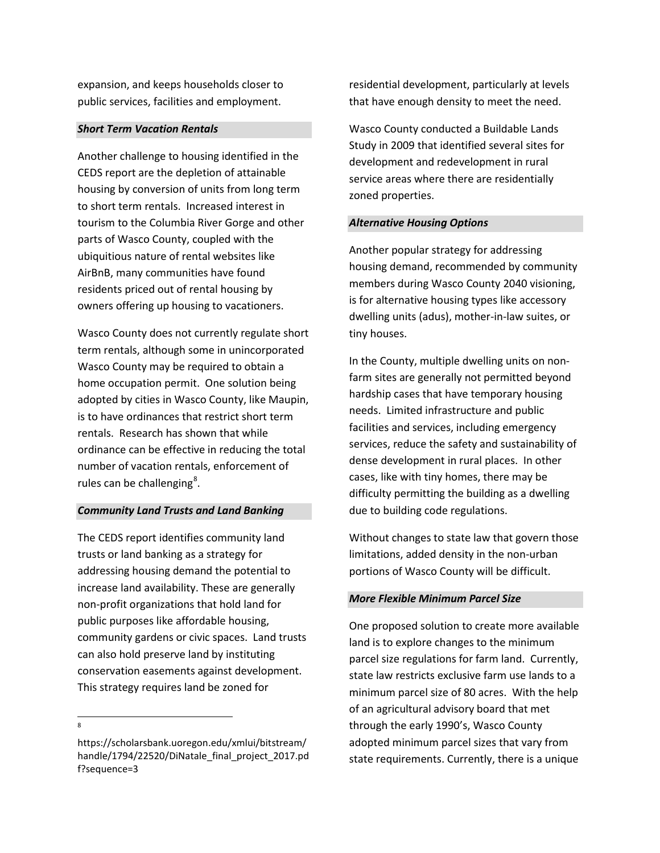expansion, and keeps households closer to public services, facilities and employment.

## *Short Term Vacation Rentals*

Another challenge to housing identified in the CEDS report are the depletion of attainable housing by conversion of units from long term to short term rentals. Increased interest in tourism to the Columbia River Gorge and other parts of Wasco County, coupled with the ubiquitious nature of rental websites like AirBnB, many communities have found residents priced out of rental housing by owners offering up housing to vacationers.

Wasco County does not currently regulate short term rentals, although some in unincorporated Wasco County may be required to obtain a home occupation permit. One solution being adopted by cities in Wasco County, like Maupin, is to have ordinances that restrict short term rentals. Research has shown that while ordinance can be effective in reducing the total number of vacation rentals, enforcement of rules can be challenging<sup>[8](#page-3-0)</sup>.

# *Community Land Trusts and Land Banking*

The CEDS report identifies community land trusts or land banking as a strategy for addressing housing demand the potential to increase land availability. These are generally non-profit organizations that hold land for public purposes like affordable housing, community gardens or civic spaces. Land trusts can also hold preserve land by instituting conservation easements against development. This strategy requires land be zoned for

-<br>8

residential development, particularly at levels that have enough density to meet the need.

Wasco County conducted a Buildable Lands Study in 2009 that identified several sites for development and redevelopment in rural service areas where there are residentially zoned properties.

# *Alternative Housing Options*

Another popular strategy for addressing housing demand, recommended by community members during Wasco County 2040 visioning, is for alternative housing types like accessory dwelling units (adus), mother-in-law suites, or tiny houses.

In the County, multiple dwelling units on nonfarm sites are generally not permitted beyond hardship cases that have temporary housing needs. Limited infrastructure and public facilities and services, including emergency services, reduce the safety and sustainability of dense development in rural places. In other cases, like with tiny homes, there may be difficulty permitting the building as a dwelling due to building code regulations.

Without changes to state law that govern those limitations, added density in the non-urban portions of Wasco County will be difficult.

# *More Flexible Minimum Parcel Size*

One proposed solution to create more available land is to explore changes to the minimum parcel size regulations for farm land. Currently, state law restricts exclusive farm use lands to a minimum parcel size of 80 acres. With the help of an agricultural advisory board that met through the early 1990's, Wasco County adopted minimum parcel sizes that vary from state requirements. Currently, there is a unique

<span id="page-3-0"></span>https://scholarsbank.uoregon.edu/xmlui/bitstream/ handle/1794/22520/DiNatale\_final\_project\_2017.pd f?sequence=3